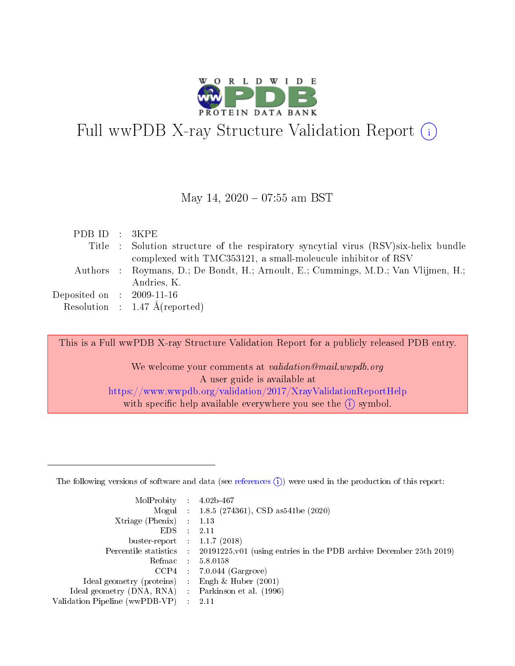

# Full wwPDB X-ray Structure Validation Report  $(i)$

#### May 14,  $2020 - 07:55$  am BST

| PDBID : 3KPE                |                                                                                      |
|-----------------------------|--------------------------------------------------------------------------------------|
|                             | Title : Solution structure of the respiratory syncytial virus (RSV) six-helix bundle |
|                             | complexed with TMC353121, a small-moleucule inhibitor of RSV                         |
|                             | Authors : Roymans, D.; De Bondt, H.; Arnoult, E.; Cummings, M.D.; Van Vlijmen, H.;   |
|                             | Andries, K.                                                                          |
| Deposited on : $2009-11-16$ |                                                                                      |
|                             | Resolution : $1.47 \text{ Å}$ (reported)                                             |
|                             |                                                                                      |

This is a Full wwPDB X-ray Structure Validation Report for a publicly released PDB entry.

We welcome your comments at validation@mail.wwpdb.org A user guide is available at <https://www.wwpdb.org/validation/2017/XrayValidationReportHelp> with specific help available everywhere you see the  $(i)$  symbol.

The following versions of software and data (see [references](https://www.wwpdb.org/validation/2017/XrayValidationReportHelp#references)  $(1)$ ) were used in the production of this report:

| MolProbity                     | $\mathcal{L}_{\rm{max}}$ | $4.02b - 467$                                                                |
|--------------------------------|--------------------------|------------------------------------------------------------------------------|
|                                |                          | Mogul : $1.8.5$ (274361), CSD as 541be (2020)                                |
| $X$ triage (Phenix) :          |                          | 1.13                                                                         |
| EDS.                           |                          | 2.11                                                                         |
| buster-report : $1.1.7$ (2018) |                          |                                                                              |
| Percentile statistics :        |                          | $20191225 \text{ v}01$ (using entries in the PDB archive December 25th 2019) |
| Refmac                         |                          | 5.8.0158                                                                     |
| $CCP4$ :                       |                          | $7.0.044$ (Gargrove)                                                         |
| Ideal geometry (proteins) :    |                          | Engh $\&$ Huber (2001)                                                       |
| Ideal geometry (DNA, RNA) :    |                          | Parkinson et al. (1996)                                                      |
| Validation Pipeline (wwPDB-VP) | $\mathcal{L}$            | -2.11                                                                        |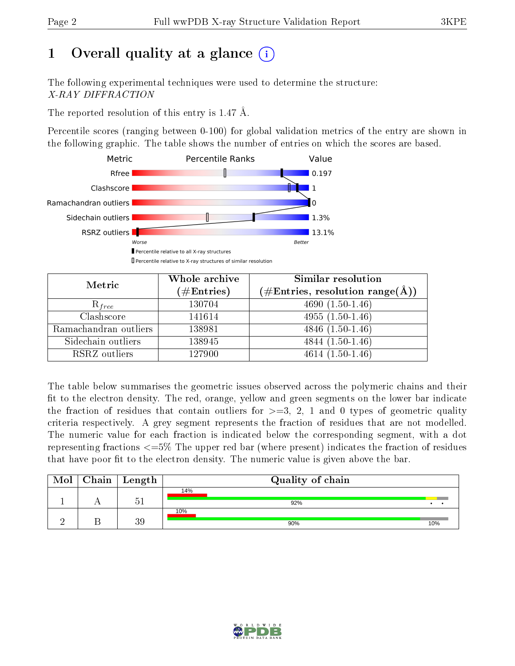# 1 [O](https://www.wwpdb.org/validation/2017/XrayValidationReportHelp#overall_quality)verall quality at a glance  $(i)$

The following experimental techniques were used to determine the structure: X-RAY DIFFRACTION

The reported resolution of this entry is 1.47 Å.

Percentile scores (ranging between 0-100) for global validation metrics of the entry are shown in the following graphic. The table shows the number of entries on which the scores are based.



| Metric                | Whole archive<br>$(\#\text{Entries})$ | Similar resolution<br>$(\#\text{Entries}, \text{resolution range}(\text{\AA}))$ |
|-----------------------|---------------------------------------|---------------------------------------------------------------------------------|
| $R_{free}$            | 130704                                | $4690(1.50-1.46)$                                                               |
| Clashscore            | 141614                                | $4955(1.50-1.46)$                                                               |
| Ramachandran outliers | 138981                                | $4846(1.50-1.46)$                                                               |
| Sidechain outliers    | 138945                                | $4844(1.50-1.46)$                                                               |
| RSRZ outliers         | 127900                                | $4614(1.50-1.46)$                                                               |

The table below summarises the geometric issues observed across the polymeric chains and their fit to the electron density. The red, orange, yellow and green segments on the lower bar indicate the fraction of residues that contain outliers for  $>=3, 2, 1$  and 0 types of geometric quality criteria respectively. A grey segment represents the fraction of residues that are not modelled. The numeric value for each fraction is indicated below the corresponding segment, with a dot representing fractions  $\epsilon=5\%$  The upper red bar (where present) indicates the fraction of residues that have poor fit to the electron density. The numeric value is given above the bar.

| Mol | $\mid$ Chain $\mid$ Length | Quality of chain |     |
|-----|----------------------------|------------------|-----|
|     | . .<br>$\sim$              | 14%<br>92%       |     |
|     | 39                         | 10%<br>90%       | 10% |

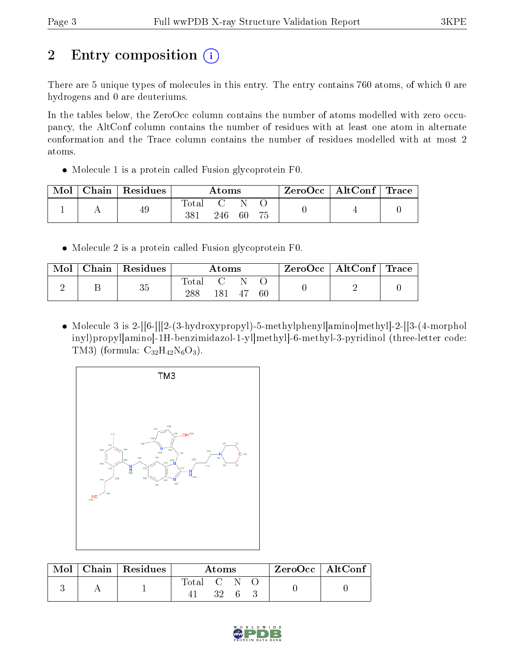# 2 Entry composition (i)

There are 5 unique types of molecules in this entry. The entry contains 760 atoms, of which 0 are hydrogens and 0 are deuteriums.

In the tables below, the ZeroOcc column contains the number of atoms modelled with zero occupancy, the AltConf column contains the number of residues with at least one atom in alternate conformation and the Trace column contains the number of residues modelled with at most 2 atoms.

Molecule 1 is a protein called Fusion glycoprotein F0.

| Mol | $\vert$ Chain $\vert$ Residues | Atoms       |     |    | $\text{ZeroOcc} \mid \text{AltConf} \mid \text{Trace}$ |  |  |
|-----|--------------------------------|-------------|-----|----|--------------------------------------------------------|--|--|
|     | 49                             | otal<br>381 | 246 | 60 |                                                        |  |  |

Molecule 2 is a protein called Fusion glycoprotein F0.

| Mol | $\top$ Chain   Residues | $\rm{Atoms}$ |     |    | $\text{ZeroOcc} \mid \text{AltConf} \mid \text{Trace}$ |  |  |
|-----|-------------------------|--------------|-----|----|--------------------------------------------------------|--|--|
|     | 35                      | Total<br>288 | 181 | 47 | -60                                                    |  |  |

• Molecule 3 is 2-[[6-[[[2-(3-hydroxypropyl]-5-methylphenyl]amino]methyl]-2-[[3-(4-morphol inyl)propyl]amino]-1H-benzimidazol-1-yl]methyl]-6-methyl-3-pyridinol (three-letter code: TM3) (formula:  $C_{32}H_{42}N_6O_3$ ).



| Mol | $\mid$ Chain $\mid$ Residues | Atoms       |      |  |  | $ZeroOcc \   \ AltConf \  $ |
|-----|------------------------------|-------------|------|--|--|-----------------------------|
|     |                              | Total C N O | -32- |  |  |                             |

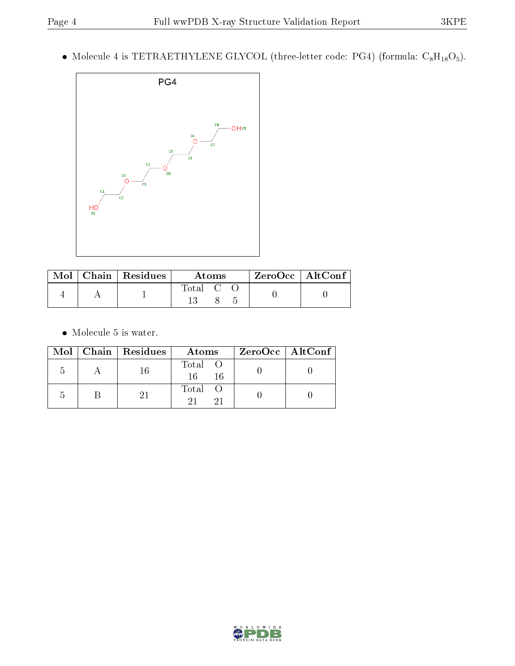• Molecule 4 is TETRAETHYLENE GLYCOL (three-letter code: PG4) (formula:  $C_8H_{18}O_5$ ).



| Mol | Chain   Residues | Atoms   | $ZeroOcc$   AltConf |  |
|-----|------------------|---------|---------------------|--|
|     |                  | Total C |                     |  |

 $\bullet\,$  Molecule 5 is water.

|  | $Mol$   Chain   Residues | Atoms                | ZeroOcc   AltConf |
|--|--------------------------|----------------------|-------------------|
|  | -16                      | Total O<br>16<br>-16 |                   |
|  |                          | Total O              |                   |

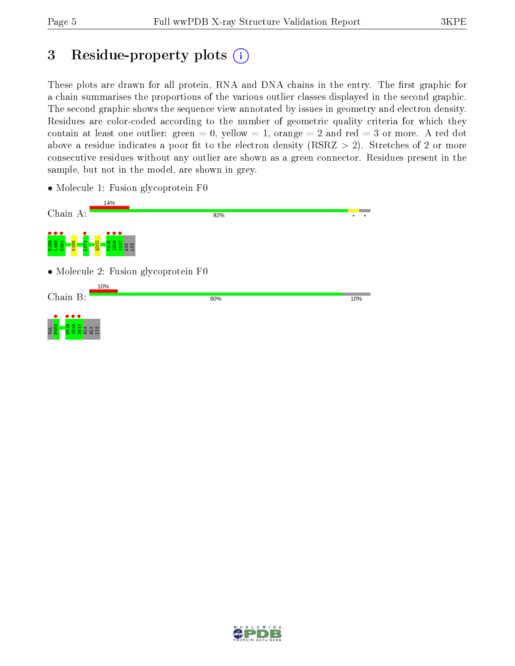# 3 Residue-property plots  $(i)$

These plots are drawn for all protein, RNA and DNA chains in the entry. The first graphic for a chain summarises the proportions of the various outlier classes displayed in the second graphic. The second graphic shows the sequence view annotated by issues in geometry and electron density. Residues are color-coded according to the number of geometric quality criteria for which they contain at least one outlier: green  $= 0$ , yellow  $= 1$ , orange  $= 2$  and red  $= 3$  or more. A red dot above a residue indicates a poor fit to the electron density (RSRZ  $> 2$ ). Stretches of 2 or more consecutive residues without any outlier are shown as a green connector. Residues present in the sample, but not in the model, are shown in grey.

• Molecule 1: Fusion glycoprotein F0

| Chain A:                                                                                   | 14%<br>92%                           |     |  |
|--------------------------------------------------------------------------------------------|--------------------------------------|-----|--|
| $\bullet\bullet\bullet$<br>N <sub>165</sub><br>H159<br>L160<br>E161<br><b>Q202</b><br>1171 | .<br>205<br>206<br>207<br><b>REA</b> |     |  |
|                                                                                            | • Molecule 2: Fusion glycoprotein F0 |     |  |
| Chain B:                                                                                   | 10%<br>90%                           | 10% |  |
| D G                                                                                        |                                      |     |  |
| $\sim$<br>œ<br>VAL.<br>SX.                                                                 |                                      |     |  |

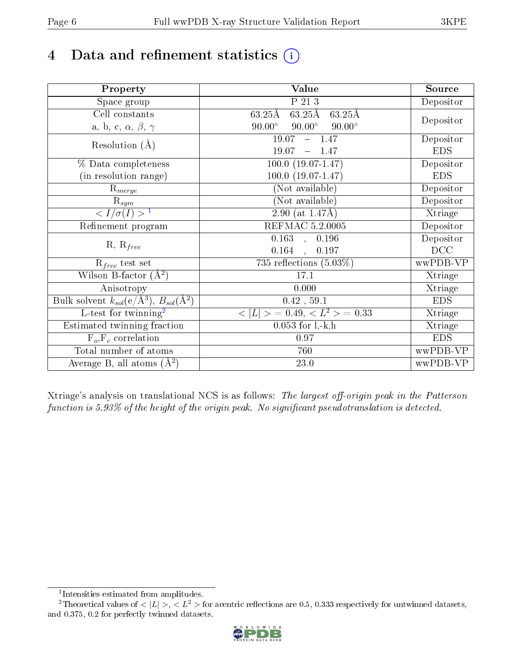# 4 Data and refinement statistics  $(i)$

| Property                                                             | Value                                                       | Source     |
|----------------------------------------------------------------------|-------------------------------------------------------------|------------|
| Space group                                                          | $P$ 21 3                                                    | Depositor  |
| Cell constants                                                       | $63.25\text{\AA}$<br>$63.25\text{\AA}$<br>$63.25\text{\AA}$ |            |
| a, b, c, $\alpha$ , $\beta$ , $\gamma$                               | $90.00^\circ$<br>$90.00^\circ$<br>$90.00^\circ$             | Depositor  |
| Resolution $(A)$                                                     | $-1.47$<br>19.07                                            | Depositor  |
|                                                                      | 19.07<br>$-1.47$                                            | <b>EDS</b> |
| % Data completeness                                                  | $100.0 (19.07 - 1.47)$                                      | Depositor  |
| (in resolution range)                                                | $100.0 (19.07 - 1.47)$                                      | <b>EDS</b> |
| $R_{merge}$                                                          | (Not available)                                             | Depositor  |
| $\mathrm{R}_{sym}$                                                   | (Not available)                                             | Depositor  |
| $\langle I/\sigma(I) \rangle$ <sup>1</sup>                           | 2.90 (at $1.47\text{\AA}$ )                                 | Xtriage    |
| Refinement program                                                   | REFMAC 5.2.0005                                             | Depositor  |
|                                                                      | $0.163$ , $0.196$                                           | Depositor  |
| $R, R_{free}$                                                        | $0.164$ ,<br>0.197                                          | DCC        |
| $\mathcal{R}_{free}$ test set                                        | 735 reflections $(5.03\%)$                                  | wwPDB-VP   |
| Wilson B-factor $(A^2)$                                              | 17.1                                                        | Xtriage    |
| Anisotropy                                                           | 0.000                                                       | Xtriage    |
| Bulk solvent $k_{sol}(e/\mathring{A}^3)$ , $B_{sol}(\mathring{A}^2)$ | 0.42, 59.1                                                  | <b>EDS</b> |
| L-test for twinning <sup>2</sup>                                     | $< L >$ = 0.49, $< L2$ > = 0.33                             | Xtriage    |
| Estimated twinning fraction                                          | $0.053$ for $1, -k, h$                                      | Xtriage    |
| $F_o, F_c$ correlation                                               | 0.97                                                        | <b>EDS</b> |
| Total number of atoms                                                | 760                                                         | wwPDB-VP   |
| Average B, all atoms $(A^2)$                                         | $23.0\,$                                                    | wwPDB-VP   |

Xtriage's analysis on translational NCS is as follows: The largest off-origin peak in the Patterson function is  $5.93\%$  of the height of the origin peak. No significant pseudotranslation is detected.

<sup>&</sup>lt;sup>2</sup>Theoretical values of  $\langle |L| \rangle$ ,  $\langle L^2 \rangle$  for acentric reflections are 0.5, 0.333 respectively for untwinned datasets, and 0.375, 0.2 for perfectly twinned datasets.



<span id="page-5-1"></span><span id="page-5-0"></span><sup>1</sup> Intensities estimated from amplitudes.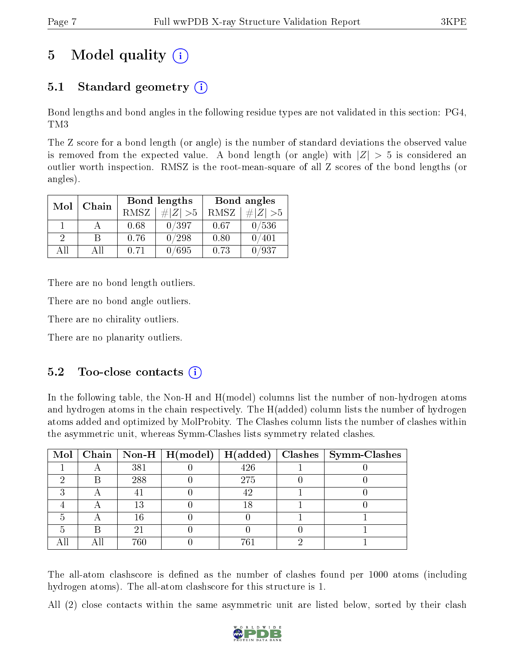# 5 Model quality  $(i)$

## 5.1 Standard geometry (i)

Bond lengths and bond angles in the following residue types are not validated in this section: PG4, TM3

The Z score for a bond length (or angle) is the number of standard deviations the observed value is removed from the expected value. A bond length (or angle) with  $|Z| > 5$  is considered an outlier worth inspection. RMSZ is the root-mean-square of all Z scores of the bond lengths (or angles).

| Mol      | Chain |      | Bond lengths | Bond angles |                |  |
|----------|-------|------|--------------|-------------|----------------|--|
|          |       | RMSZ | $\# Z  > 5$  | RMSZ        | # Z  > 5       |  |
|          |       | 0.68 | 0/397        | 0.67        | 0/536          |  |
| $\Omega$ |       | 0.76 | 0/298        | 0.80        | $^{\prime}401$ |  |
| ΔH       | ΑH    | 0.71 | /695         | 0.73        | '937           |  |

There are no bond length outliers.

There are no bond angle outliers.

There are no chirality outliers.

There are no planarity outliers.

### $5.2$  Too-close contacts  $(i)$

In the following table, the Non-H and H(model) columns list the number of non-hydrogen atoms and hydrogen atoms in the chain respectively. The H(added) column lists the number of hydrogen atoms added and optimized by MolProbity. The Clashes column lists the number of clashes within the asymmetric unit, whereas Symm-Clashes lists symmetry related clashes.

|  |     |     | Mol   Chain   Non-H   H(model)   H(added)   Clashes   Symm-Clashes |
|--|-----|-----|--------------------------------------------------------------------|
|  | 381 | 426 |                                                                    |
|  | 288 | 275 |                                                                    |
|  |     | 42  |                                                                    |
|  | 13  | 18  |                                                                    |
|  | 16  |     |                                                                    |
|  | 2.  |     |                                                                    |
|  | 760 | 761 |                                                                    |

The all-atom clashscore is defined as the number of clashes found per 1000 atoms (including hydrogen atoms). The all-atom clashscore for this structure is 1.

All (2) close contacts within the same asymmetric unit are listed below, sorted by their clash

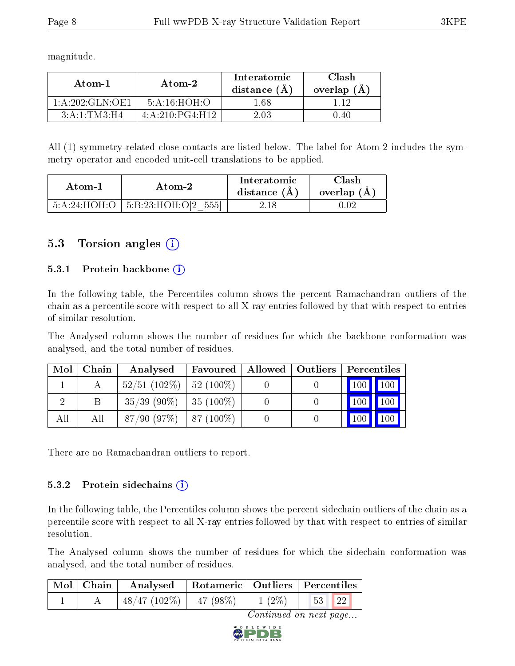magnitude.

| Atom-1          | Atom-2          | Interatomic<br>distance $(A)$ | Clash<br>overlap $(A)$ |  |
|-----------------|-----------------|-------------------------------|------------------------|--|
| 1:A:202:GLN:OF1 | 5:A:16:HOH:O    | l 68                          |                        |  |
| 3: A:1: TM3:H4  | 4:A:210:PG4:H12 | 2 03                          | በ 4በ                   |  |

All (1) symmetry-related close contacts are listed below. The label for Atom-2 includes the symmetry operator and encoded unit-cell translations to be applied.

| Atom-1       | Atom-2                             | Interatomic<br>distance (A) | Clash<br>overlap $(A)$ |
|--------------|------------------------------------|-----------------------------|------------------------|
| 5:A:24:HOH:O | 5551<br>$\pm$ 5:B:23:HOH:O[2 $\pm$ |                             |                        |

### 5.3 Torsion angles (i)

#### 5.3.1 Protein backbone  $(i)$

In the following table, the Percentiles column shows the percent Ramachandran outliers of the chain as a percentile score with respect to all X-ray entries followed by that with respect to entries of similar resolution.

The Analysed column shows the number of residues for which the backbone conformation was analysed, and the total number of residues.

| Mol | Chain | Analysed                     | Favoured ' | Allowed   Outliers | Percentiles   |     |
|-----|-------|------------------------------|------------|--------------------|---------------|-----|
|     |       | $52/51$ (102\%)   52 (100\%) |            |                    | $100$   $100$ |     |
|     |       | $35/39$ (90\%)   35 (100\%)  |            |                    | 100           | 100 |
| All | All   | $87/90$ (97\%)   87 (100\%)  |            |                    | 100           | 100 |

There are no Ramachandran outliers to report.

#### 5.3.2 Protein sidechains  $(i)$

In the following table, the Percentiles column shows the percent sidechain outliers of the chain as a percentile score with respect to all X-ray entries followed by that with respect to entries of similar resolution.

The Analysed column shows the number of residues for which the sidechain conformation was analysed, and the total number of residues.

| $\mid$ Mol $\mid$ Chain $\mid$ | Analysed   Rotameric   Outliers   Percentiles |          |                         |
|--------------------------------|-----------------------------------------------|----------|-------------------------|
|                                | $\mid$ 48/47 (102\%)   47 (98\%)              | $1(2\%)$ | 221<br>$-53$ $\text{h}$ |

Continued on next page...

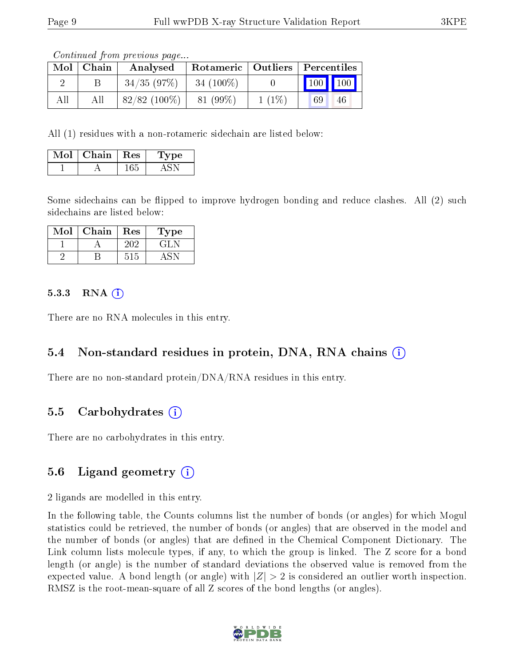Continued from previous page...

| Mol | Chain | Analysed       |             |          | Rotameric   Outliers   Percentiles |
|-----|-------|----------------|-------------|----------|------------------------------------|
|     |       | 34/35(97%)     | $34(100\%)$ |          | $\mid$ 100 $\mid$ 100              |
| All |       | $82/82(100\%)$ | 81 (99%)    | $1(1\%)$ | 69<br>46                           |

All (1) residues with a non-rotameric sidechain are listed below:

| Mol | Chain $\vert$ Res | Type |
|-----|-------------------|------|
|     |                   |      |

Some sidechains can be flipped to improve hydrogen bonding and reduce clashes. All (2) such sidechains are listed below:

| Mol | Chain | Res | Type   |
|-----|-------|-----|--------|
|     |       |     | $-1.1$ |
|     |       |     |        |

#### 5.3.3 RNA [O](https://www.wwpdb.org/validation/2017/XrayValidationReportHelp#rna)i

There are no RNA molecules in this entry.

#### 5.4 Non-standard residues in protein, DNA, RNA chains (i)

There are no non-standard protein/DNA/RNA residues in this entry.

#### 5.5 Carbohydrates (i)

There are no carbohydrates in this entry.

#### 5.6 Ligand geometry  $(i)$

2 ligands are modelled in this entry.

In the following table, the Counts columns list the number of bonds (or angles) for which Mogul statistics could be retrieved, the number of bonds (or angles) that are observed in the model and the number of bonds (or angles) that are dened in the Chemical Component Dictionary. The Link column lists molecule types, if any, to which the group is linked. The Z score for a bond length (or angle) is the number of standard deviations the observed value is removed from the expected value. A bond length (or angle) with  $|Z| > 2$  is considered an outlier worth inspection. RMSZ is the root-mean-square of all Z scores of the bond lengths (or angles).

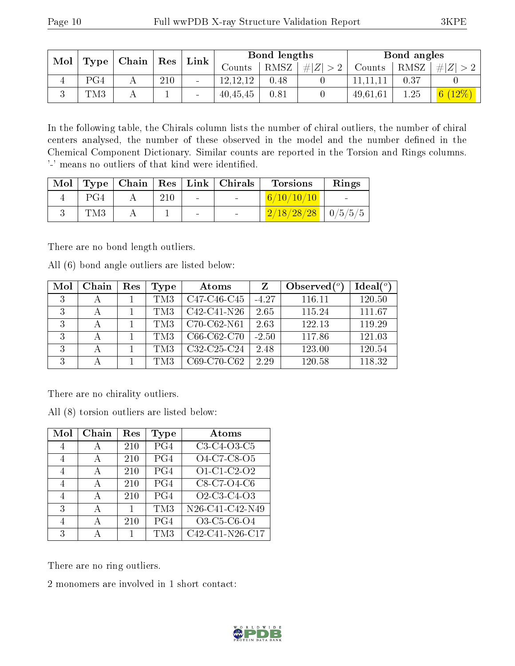| Mol |      |             |     | Link |            | Bond lengths |                |          | Bond angles |        |
|-----|------|-------------|-----|------|------------|--------------|----------------|----------|-------------|--------|
|     | Type | Chain   Res |     |      | Counts     | RMSZ         | $\# Z $<br>> 2 | Counts   | RMSZ        | Z<br># |
|     | PG4  |             | 210 |      | 12, 12, 12 | 0.48         |                |          | 0.37        |        |
|     | TM3  |             |     |      | 40,45,45   | 0.81         |                | 49,61,61 | 1.25        | 6(12%) |

In the following table, the Chirals column lists the number of chiral outliers, the number of chiral centers analysed, the number of these observed in the model and the number defined in the Chemical Component Dictionary. Similar counts are reported in the Torsion and Rings columns. '-' means no outliers of that kind were identified.

|     |     |        | Mol   Type   Chain   Res   Link   Chirals | <b>Torsions</b>                        | Rings |
|-----|-----|--------|-------------------------------------------|----------------------------------------|-------|
| PG4 | 210 | $\sim$ |                                           | 6/10/10/10                             |       |
| TM3 |     |        |                                           | $\boxed{2/18/28/28}$ $\boxed{0/5/5/5}$ |       |

There are no bond length outliers.

All (6) bond angle outliers are listed below:

| Mol | Chain | Res | Type | Atoms                                             | Z       | Observed $(°)$ | Ideal(°) |
|-----|-------|-----|------|---------------------------------------------------|---------|----------------|----------|
| 3   |       |     | TM3  | C <sub>47</sub> -C <sub>46</sub> -C <sub>45</sub> | $-4.27$ | 116.11         | 120.50   |
| 3   | А     |     | TM3  | $C42-C41-N26$                                     | 2.65    | 115.24         | 111.67   |
| 3   |       |     | TM3  | C70-C62-N61                                       | 2.63    | 122.13         | 119.29   |
| 3   |       |     | TM3  | C66-C62-C70                                       | $-2.50$ | 117.86         | 121.03   |
| 3   |       |     | TM3  | C32-C25-C24                                       | 2.48    | 123.00         | 120.54   |
| 3   |       |     | TM3  | C69-C70-C62                                       | 2.29    | 120.58         | 118.32   |

There are no chirality outliers.

All (8) torsion outliers are listed below:

| Mol            | Chain | Res          | Type              | Atoms           |
|----------------|-------|--------------|-------------------|-----------------|
| 4              | А     | 210          | PG4               | C3-C4-O3-C5     |
| $\overline{4}$ | А     | 210          | PG4               | O4-C7-C8-O5     |
| $\overline{4}$ | А     | 210          | PG4               | O1-C1-C2-O2     |
| $\overline{4}$ | А     | 210          | PG4               | C8-C7-O4-C6     |
| $\overline{4}$ | А     | 210          | PG4               | O2-C3-C4-O3     |
| 3              | А     | $\mathbf{1}$ | $\overline{T}$ M3 | N26-C41-C42-N49 |
| $\overline{4}$ | А     | 210          | PG4               | O3-C5-C6-O4     |
| 3              |       |              | TM3               | C42-C41-N26-C17 |

There are no ring outliers.

2 monomers are involved in 1 short contact:

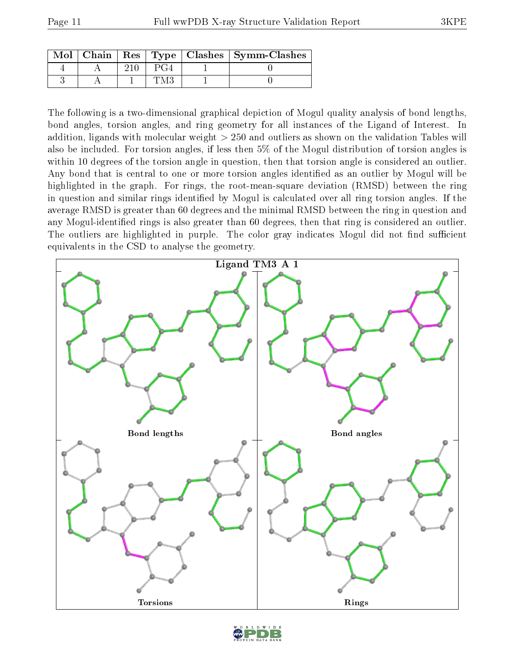|  |  | $\text{Mol}$   Chain   Res   Type   Clashes   Symm-Clashes |
|--|--|------------------------------------------------------------|
|  |  |                                                            |
|  |  |                                                            |

The following is a two-dimensional graphical depiction of Mogul quality analysis of bond lengths, bond angles, torsion angles, and ring geometry for all instances of the Ligand of Interest. In addition, ligands with molecular weight > 250 and outliers as shown on the validation Tables will also be included. For torsion angles, if less then 5% of the Mogul distribution of torsion angles is within 10 degrees of the torsion angle in question, then that torsion angle is considered an outlier. Any bond that is central to one or more torsion angles identified as an outlier by Mogul will be highlighted in the graph. For rings, the root-mean-square deviation (RMSD) between the ring in question and similar rings identified by Mogul is calculated over all ring torsion angles. If the average RMSD is greater than 60 degrees and the minimal RMSD between the ring in question and any Mogul-identified rings is also greater than 60 degrees, then that ring is considered an outlier. The outliers are highlighted in purple. The color gray indicates Mogul did not find sufficient equivalents in the CSD to analyse the geometry.



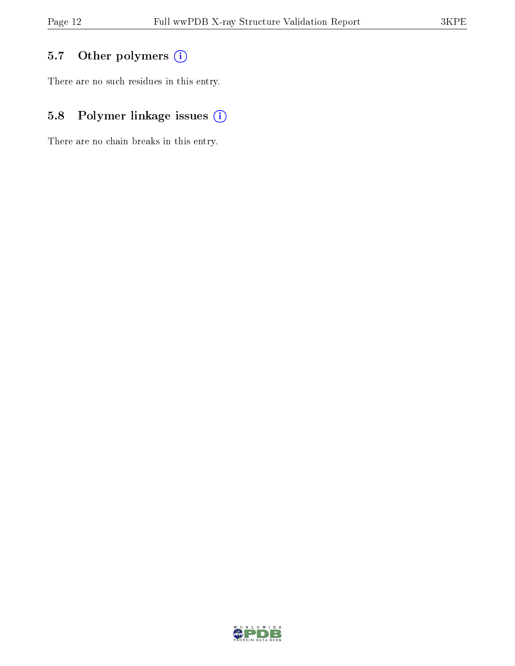## 5.7 [O](https://www.wwpdb.org/validation/2017/XrayValidationReportHelp#nonstandard_residues_and_ligands)ther polymers (i)

There are no such residues in this entry.

## 5.8 Polymer linkage issues (i)

There are no chain breaks in this entry.

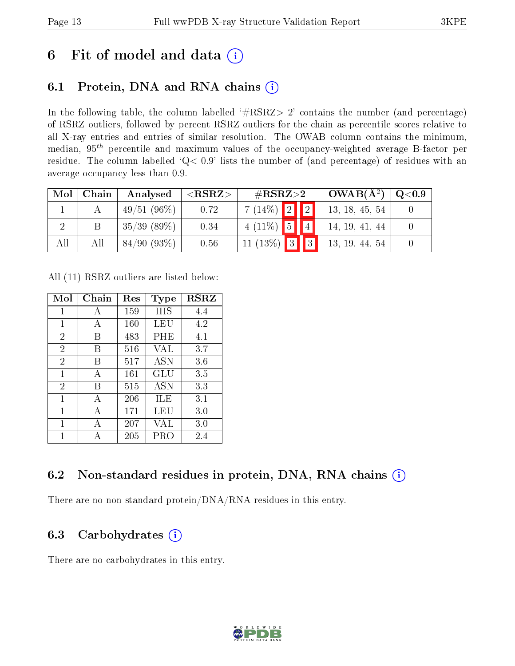# 6 Fit of model and data  $(i)$

### 6.1 Protein, DNA and RNA chains  $(i)$

In the following table, the column labelled  $#RSRZ> 2'$  contains the number (and percentage) of RSRZ outliers, followed by percent RSRZ outliers for the chain as percentile scores relative to all X-ray entries and entries of similar resolution. The OWAB column contains the minimum, median,  $95<sup>th</sup>$  percentile and maximum values of the occupancy-weighted average B-factor per residue. The column labelled ' $Q< 0.9$ ' lists the number of (and percentage) of residues with an average occupancy less than 0.9.

| Mol | Chain | Analysed       | ${ <\hspace{-1.5pt}{\mathrm{RSRZ}} \hspace{-1.5pt}>}$ | $\#\text{RSRZ}\text{>2}$ |  | $OWAB(A^2)$ | Q <sub>0.9</sub> |  |
|-----|-------|----------------|-------------------------------------------------------|--------------------------|--|-------------|------------------|--|
|     |       | $-49/51(96\%)$ | 0.72                                                  | $7(14\%)$ 2 2            |  |             | 13, 18, 45, 54   |  |
|     |       | 35/39(89%)     | 0.34                                                  | $4(11\%)$ 5 4            |  |             | 14, 19, 41, 44   |  |
| All | All   | 84/90(93%)     | 0.56                                                  | $11 (13\%)$ 3 3          |  |             | 13, 19, 44, 54   |  |

All (11) RSRZ outliers are listed below:

| Mol            | Chain | $\operatorname{Res}% \left( \mathcal{N}\right) \equiv\operatorname{Res}(\mathcal{N}_{0},\mathcal{N}_{0})$ | Type       | <b>RSRZ</b> |  |
|----------------|-------|-----------------------------------------------------------------------------------------------------------|------------|-------------|--|
| 1              | A     | 159                                                                                                       | HIS        | 4.4         |  |
| 1              | A     | 160                                                                                                       | LEU        | 4.2         |  |
| $\overline{2}$ | В     | 483                                                                                                       | PHE        | 4.1         |  |
| $\overline{2}$ | В     | 516                                                                                                       | VAL        | 3.7         |  |
| $\overline{2}$ | В     | 517                                                                                                       | <b>ASN</b> | 3.6         |  |
| 1              | A     | 161                                                                                                       | GLU        | 3.5         |  |
| $\overline{2}$ | В     | 515                                                                                                       | <b>ASN</b> | 3.3         |  |
| 1              | A     | 206                                                                                                       | ILE        | 3.1         |  |
| 1              | А     | 171                                                                                                       | LEU        | 3.0         |  |
| 1              | А     | 207                                                                                                       | VAL        | 3.0         |  |
| 1              |       | 205                                                                                                       | PRO        | 2.4         |  |

### 6.2 Non-standard residues in protein, DNA, RNA chains (i)

There are no non-standard protein/DNA/RNA residues in this entry.

### 6.3 Carbohydrates  $(i)$

There are no carbohydrates in this entry.